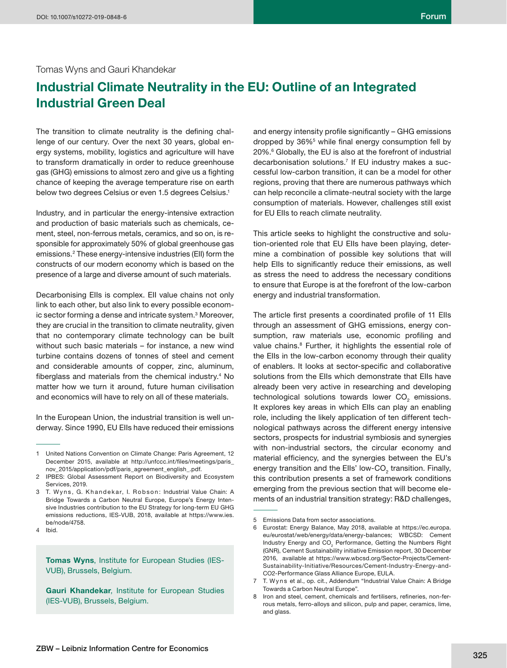# Tomas Wyns and Gauri Khandekar

# **Industrial Climate Neutrality in the EU: Outline of an Integrated Industrial Green Deal**

The transition to climate neutrality is the defining challenge of our century. Over the next 30 years, global energy systems, mobility, logistics and agriculture will have to transform dramatically in order to reduce greenhouse gas (GHG) emissions to almost zero and give us a fighting chance of keeping the average temperature rise on earth below two degrees Celsius or even 1.5 degrees Celsius.<sup>1</sup>

Industry, and in particular the energy-intensive extraction and production of basic materials such as chemicals, cement, steel, non-ferrous metals, ceramics, and so on, is responsible for approximately 50% of global greenhouse gas emissions.2 These energy-intensive industries (EII) form the constructs of our modern economy which is based on the presence of a large and diverse amount of such materials.

Decarbonising EIIs is complex. EII value chains not only link to each other, but also link to every possible economic sector forming a dense and intricate system.<sup>3</sup> Moreover, they are crucial in the transition to climate neutrality, given that no contemporary climate technology can be built without such basic materials – for instance, a new wind turbine contains dozens of tonnes of steel and cement and considerable amounts of copper, zinc, aluminum, fiberglass and materials from the chemical industry.<sup>4</sup> No matter how we turn it around, future human civilisation and economics will have to rely on all of these materials.

In the European Union, the industrial transition is well underway. Since 1990, EU EIIs have reduced their emissions

**Tomas Wyns**, Institute for European Studies (IES-VUB), Brussels, Belgium.

**Gauri Khandekar**, Institute for European Studies (IES-VUB), Brussels, Belgium.

and energy intensity profile significantly  $-$  GHG emissions dropped by 36%<sup>5</sup> while final energy consumption fell by 20%.6 Globally, the EU is also at the forefront of industrial decarbonisation solutions.7 If EU industry makes a successful low-carbon transition, it can be a model for other regions, proving that there are numerous pathways which can help reconcile a climate-neutral society with the large consumption of materials. However, challenges still exist for EU EIIs to reach climate neutrality.

This article seeks to highlight the constructive and solution-oriented role that EU EIIs have been playing, determine a combination of possible key solutions that will help Ells to significantly reduce their emissions, as well as stress the need to address the necessary conditions to ensure that Europe is at the forefront of the low-carbon energy and industrial transformation.

The article first presents a coordinated profile of 11 Ells through an assessment of GHG emissions, energy consumption, raw materials use, economic profiling and value chains.<sup>8</sup> Further, it highlights the essential role of the EIIs in the low-carbon economy through their quality of enablers. It looks at sector-specific and collaborative solutions from the EIIs which demonstrate that EIIs have already been very active in researching and developing technological solutions towards lower CO<sub>2</sub> emissions. It explores key areas in which EIIs can play an enabling role, including the likely application of ten different technological pathways across the different energy intensive sectors, prospects for industrial symbiosis and synergies with non-industrial sectors, the circular economy and material efficiency, and the synergies between the EU's energy transition and the Ells' low-CO<sub>2</sub> transition. Finally, this contribution presents a set of framework conditions emerging from the previous section that will become elements of an industrial transition strategy: R&D challenges,

<sup>1</sup> United Nations Convention on Climate Change: Paris Agreement, 12 December 2015, available at http://unfccc.int/files/meetings/paris\_ nov\_2015/application/pdf/paris\_agreement\_english\_.pdf.

<sup>2</sup> IPBES: Global Assessment Report on Biodiversity and Ecosystem Services, 2019.

<sup>3</sup> T. Wyns, G. Khandekar, I. Robson: Industrial Value Chain: A Bridge Towards a Carbon Neutral Europe, Europe's Energy Intensive Industries contribution to the EU Strategy for long-term EU GHG emissions reductions, IES-VUB, 2018, available at https://www.ies. be/node/4758.

<sup>4</sup> Ibid.

<sup>5</sup> Emissions Data from sector associations.

<sup>6</sup> Eurostat: Energy Balance, May 2018, available at https://ec.europa. eu/eurostat/web/energy/data/energy-balances; WBCSD: Cement Industry Energy and  $CO<sub>2</sub>$  Performance, Getting the Numbers Right (GNR), Cement Sustainability initiative Emission report, 30 December 2016, available at https://www.wbcsd.org/Sector-Projects/Cement-Sustainability-Initiative/Resources/Cement-Industry-Energy-and-CO2-Performance Glass Alliance Europe, EULA.

<sup>7</sup> T. Wyns et al., op. cit., Addendum "Industrial Value Chain: A Bridge Towards a Carbon Neutral Europe".

<sup>8</sup> Iron and steel, cement, chemicals and fertilisers, refineries, non-ferrous metals, ferro-alloys and silicon, pulp and paper, ceramics, lime, and glass.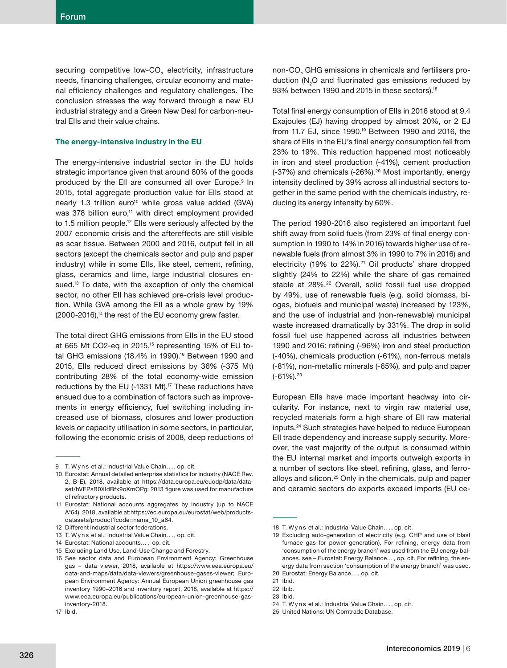securing competitive low-CO<sub>2</sub> electricity, infrastructure needs, financing challenges, circular economy and material efficiency challenges and regulatory challenges. The conclusion stresses the way forward through a new EU industrial strategy and a Green New Deal for carbon-neutral EIIs and their value chains.

#### **The energy-intensive industry in the EU**

The energy-intensive industrial sector in the EU holds strategic importance given that around 80% of the goods produced by the Ell are consumed all over Europe.<sup>9</sup> In 2015, total aggregate production value for EIIs stood at nearly 1.3 trillion euro<sup>10</sup> while gross value added (GVA) was 378 billion euro,<sup>11</sup> with direct employment provided to 1.5 million people.<sup>12</sup> Ells were seriously affected by the 2007 economic crisis and the aftereffects are still visible as scar tissue. Between 2000 and 2016, output fell in all sectors (except the chemicals sector and pulp and paper industry) while in some Ells, like steel, cement, refining, glass, ceramics and lime, large industrial closures ensued.<sup>13</sup> To date, with the exception of only the chemical sector, no other EII has achieved pre-crisis level production. While GVA among the EII as a whole grew by 19% (2000-2016),14 the rest of the EU economy grew faster.

The total direct GHG emissions from EIIs in the EU stood at 665 Mt CO2-eq in 2015,15 representing 15% of EU total GHG emissions (18.4% in 1990).<sup>16</sup> Between 1990 and 2015, EIIs reduced direct emissions by 36% (-375 Mt) contributing 28% of the total economy-wide emission reductions by the EU (-1331 Mt).<sup>17</sup> These reductions have ensued due to a combination of factors such as improvements in energy efficiency, fuel switching including increased use of biomass, closures and lower production levels or capacity utilisation in some sectors, in particular, following the economic crisis of 2008, deep reductions of

non-CO $_{\tiny 2}$  GHG emissions in chemicals and fertilisers production  $(N_2O$  and fluorinated gas emissions reduced by 93% between 1990 and 2015 in these sectors).18

Total final energy consumption of Ells in 2016 stood at 9.4 Exajoules (EJ) having dropped by almost 20%, or 2 EJ from 11.7 EJ, since 1990.19 Between 1990 and 2016, the share of EIIs in the EU's final energy consumption fell from 23% to 19%. This reduction happened most noticeably in iron and steel production (-41%), cement production (-37%) and chemicals (-26%).<sup>20</sup> Most importantly, energy intensity declined by 39% across all industrial sectors together in the same period with the chemicals industry, reducing its energy intensity by 60%.

The period 1990-2016 also registered an important fuel shift away from solid fuels (from 23% of final energy consumption in 1990 to 14% in 2016) towards higher use of renewable fuels (from almost 3% in 1990 to 7% in 2016) and electricity (19% to  $22\%$ ).<sup>21</sup> Oil products' share dropped slightly (24% to 22%) while the share of gas remained stable at 28%.<sup>22</sup> Overall, solid fossil fuel use dropped by 49%, use of renewable fuels (e.g. solid biomass, biogas, biofuels and municipal waste) increased by 123%, and the use of industrial and (non-renewable) municipal waste increased dramatically by 331%. The drop in solid fossil fuel use happened across all industries between 1990 and 2016: refining (-96%) iron and steel production (-40%), chemicals production (-61%), non-ferrous metals (-81%), non-metallic minerals (-65%), and pulp and paper  $(-61%)$ .  $23$ 

European EIIs have made important headway into circularity. For instance, next to virgin raw material use, recycled materials form a high share of EII raw material inputs.24 Such strategies have helped to reduce European EII trade dependency and increase supply security. Moreover, the vast majority of the output is consumed within the EU internal market and imports outweigh exports in a number of sectors like steel, refining, glass, and ferroalloys and silicon.25 Only in the chemicals, pulp and paper and ceramic sectors do exports exceed imports (EU ce-

<sup>9</sup> T. Wyns et al.: Industrial Value Chain..., op. cit.

<sup>10</sup> Eurostat: Annual detailed enterprise statistics for industry (NACE Rev. 2, B-E), 2018, available at https://data.europa.eu/euodp/data/dataset/hVEPsB0XIdBfx9oXmOPg; 2013 figure was used for manufacture of refractory products.

<sup>11</sup> Eurostat: National accounts aggregates by industry (up to NACE A\*64), 2018, available at:https://ec.europa.eu/eurostat/web/productsdatasets/product?code=nama\_10\_a64.

<sup>12</sup> Different industrial sector federations.

<sup>13</sup> T. Wyns et al.: Industrial Value Chain..., op. cit.

<sup>14</sup> Eurostat: National accounts… , op. cit.

<sup>15</sup> Excluding Land Use, Land-Use Change and Forestry.

<sup>16</sup> See sector data and European Environment Agency: Greenhouse gas – data viewer, 2018, available at https://www.eea.europa.eu/ data-and-maps/data/data-viewers/greenhouse-gases-viewer; European Environment Agency: Annual European Union greenhouse gas inventory 1990–2016 and inventory report, 2018, available at https:// www.eea.europa.eu/publications/european-union-greenhouse-gasinventory-2018.

<sup>17</sup> Ibid.

<sup>18</sup> T. Wyns et al.: Industrial Value Chain..., op. cit.

<sup>19</sup> Excluding auto-generation of electricity (e.g. CHP and use of blast furnace gas for power generation). For refining, energy data from 'consumption of the energy branch' was used from the EU energy balances. see - Eurostat: Energy Balance..., op. cit. For refining, the energy data from section 'consumption of the energy branch' was used. 20 Eurostat: Energy Balance… , op. cit.

<sup>21</sup> Ibid.

<sup>22</sup> Ibib.

<sup>23</sup> Ibid.

<sup>24</sup> T. Wyns et al.: Industrial Value Chain.... op. cit.

<sup>25</sup> United Nations: UN Comtrade Database.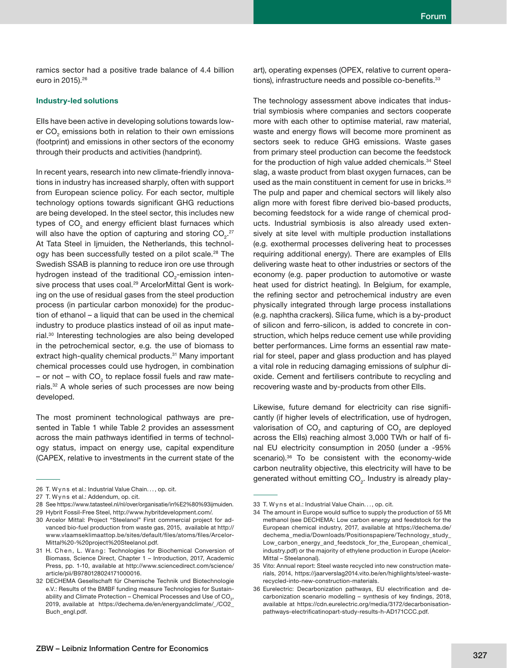ramics sector had a positive trade balance of 4.4 billion euro in 2015).26

### **Industry-led solutions**

EIIs have been active in developing solutions towards lower CO<sub>2</sub> emissions both in relation to their own emissions (footprint) and emissions in other sectors of the economy through their products and activities (handprint).

In recent years, research into new climate-friendly innovations in industry has increased sharply, often with support from European science policy. For each sector, multiple technology options towards significant GHG reductions are being developed. In the steel sector, this includes new types of CO<sub>2</sub> and energy efficient blast furnaces which will also have the option of capturing and storing CO<sub>2</sub>.<sup>27</sup> At Tata Steel in Ijmuiden, the Netherlands, this technology has been successfully tested on a pilot scale.<sup>28</sup> The Swedish SSAB is planning to reduce iron ore use through hydrogen instead of the traditional CO<sub>2</sub>-emission intensive process that uses coal.<sup>29</sup> ArcelorMittal Gent is working on the use of residual gases from the steel production process (in particular carbon monoxide) for the production of ethanol – a liquid that can be used in the chemical industry to produce plastics instead of oil as input material.30 Interesting technologies are also being developed in the petrochemical sector, e.g. the use of biomass to extract high-quality chemical products.<sup>31</sup> Many important chemical processes could use hydrogen, in combination – or not – with CO $_{\tiny 2}$  to replace fossil fuels and raw materials.32 A whole series of such processes are now being developed.

The most prominent technological pathways are presented in Table 1 while Table 2 provides an assessment across the main pathways identified in terms of technology status, impact on energy use, capital expenditure (CAPEX, relative to investments in the current state of the art), operating expenses (OPEX, relative to current operations), infrastructure needs and possible co-benefits. $33$ 

The technology assessment above indicates that industrial symbiosis where companies and sectors cooperate more with each other to optimise material, raw material, waste and energy flows will become more prominent as sectors seek to reduce GHG emissions. Waste gases from primary steel production can become the feedstock for the production of high value added chemicals.<sup>34</sup> Steel slag, a waste product from blast oxygen furnaces, can be used as the main constituent in cement for use in bricks.<sup>35</sup> The pulp and paper and chemical sectors will likely also align more with forest fibre derived bio-based products, becoming feedstock for a wide range of chemical products. Industrial symbiosis is also already used extensively at site level with multiple production installations (e.g. exothermal processes delivering heat to processes requiring additional energy). There are examples of EIIs delivering waste heat to other industries or sectors of the economy (e.g. paper production to automotive or waste heat used for district heating). In Belgium, for example, the refining sector and petrochemical industry are even physically integrated through large process installations (e.g. naphtha crackers). Silica fume, which is a by-product of silicon and ferro-silicon, is added to concrete in construction, which helps reduce cement use while providing better performances. Lime forms an essential raw material for steel, paper and glass production and has played a vital role in reducing damaging emissions of sulphur dioxide. Cement and fertilisers contribute to recycling and recovering waste and by-products from other EIIs.

Likewise, future demand for electricity can rise significantly (if higher levels of electrification, use of hydrogen, valorisation of CO<sub>2</sub> and capturing of CO<sub>2</sub> are deployed across the Ells) reaching almost 3,000 TWh or half of final EU electricity consumption in 2050 (under a -95% scenario).<sup>36</sup> To be consistent with the economy-wide carbon neutrality objective, this electricity will have to be generated without emitting CO<sub>2</sub>. Industry is already play-

<sup>26</sup> T. Wyns et al.: Industrial Value Chain. . . , op. cit.

<sup>27</sup> T. Wyns et al.: Addendum, op. cit.

<sup>28</sup> See https://www.tatasteel.nl/nl/over/organisatie/in%E2%80%93ijmuiden.

<sup>29</sup> Hybrit Fossil-Free Steel, http://www.hybritdevelopment.com/.

<sup>30</sup> Arcelor Mittal: Project "Steelanol" First commercial project for advanced bio-fuel production from waste gas, 2015, available at http:// www.vlaamseklimaattop.be/sites/default/files/atoms/files/Arcelor-Mittal%20-%20project%20Steelanol.pdf.

<sup>31</sup> H. Chen, L. Wang: Technologies for Biochemical Conversion of Biomass, Science Direct, Chapter 1 – Introduction, 2017, Academic Press, pp. 1-10, available at http://www.sciencedirect.com/science/ article/pii/B9780128024171000016.

<sup>32</sup> DECHEMA Gesellschaft für Chemische Technik und Biotechnologie e.V.: Results of the BMBF funding measure Technologies for Sustainability and Climate Protection – Chemical Processes and Use of CO $_{\textrm{\tiny{2}}}$ , 2019, available at https://dechema.de/en/energyandclimate/\_/CO2\_ Buch\_engl.pdf.

<sup>33</sup> T. Wyns et al.: Industrial Value Chain..., op. cit.

<sup>34</sup> The amount in Europe would suffice to supply the production of 55 Mt methanol (see DECHEMA: Low carbon energy and feedstock for the European chemical industry, 2017, available at https://dechema.de/ dechema\_media/Downloads/Positionspapiere/Technology\_study\_ Low\_carbon\_energy\_and\_feedstock\_for\_the\_European\_chemical\_ industry.pdf) or the majority of ethylene production in Europe (Acelor-Mittal – Steelanonal).

<sup>35</sup> Vito: Annual report: Steel waste recycled into new construction materials, 2014, https://jaarverslag2014.vito.be/en/highlights/steel-wasterecycled-into-new-construction-materials.

<sup>36</sup> Eurelectric: Decarbonization pathways, EU electrification and decarbonization scenario modelling - synthesis of key findings, 2018, available at https://cdn.eurelectric.org/media/3172/decarbonisationpathways-electrificatinopart-study-results-h-AD171CCC.pdf.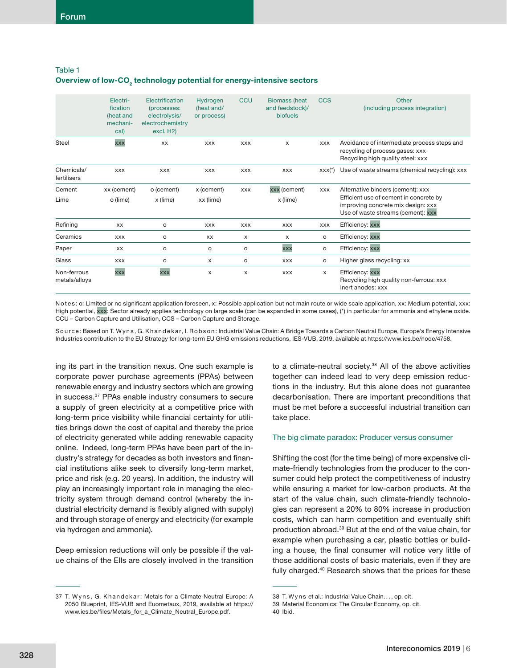| Table 1 |                                                                                   |
|---------|-----------------------------------------------------------------------------------|
|         | Overview of low-CO <sub>2</sub> technology potential for energy-intensive sectors |

|                              | Electri-<br>fication<br>(heat and<br>mechani-<br>cal) | Electrification<br>(processes:<br>electrolysis/<br>electrochemistry<br>excl. H <sub>2</sub> ) | Hydrogen<br>(heat and/<br>or process) | <b>CCU</b> | <b>Biomass (heat</b><br>and feedstock)/<br>biofuels | CCS        | Other<br>(including process integration)                                                                                                                |
|------------------------------|-------------------------------------------------------|-----------------------------------------------------------------------------------------------|---------------------------------------|------------|-----------------------------------------------------|------------|---------------------------------------------------------------------------------------------------------------------------------------------------------|
| <b>Steel</b>                 | xxx                                                   | XX                                                                                            | <b>XXX</b>                            | <b>XXX</b> | X                                                   | <b>XXX</b> | Avoidance of intermediate process steps and<br>recycling of process gases: xxx<br>Recycling high quality steel: xxx                                     |
| Chemicals/<br>fertilisers    | <b>XXX</b>                                            | <b>XXX</b>                                                                                    | <b>XXX</b>                            | <b>XXX</b> | <b>XXX</b>                                          | $XXX(*)$   | Use of waste streams (chemical recycling): xxx                                                                                                          |
| Cement<br>Lime               | xx (cement)<br>o (lime)                               | o (cement)<br>x (lime)                                                                        | x (cement)<br>xx (lime)               | <b>XXX</b> | xxx (cement)<br>x (lime)                            | <b>XXX</b> | Alternative binders (cement): xxx<br>Efficient use of cement in concrete by<br>improving concrete mix design: xxx<br>Use of waste streams (cement): xxx |
| Refining                     | XX                                                    | o                                                                                             | <b>XXX</b>                            | <b>XXX</b> | <b>XXX</b>                                          | <b>XXX</b> | Efficiency: xxx                                                                                                                                         |
| Ceramics                     | <b>XXX</b>                                            | o                                                                                             | XX                                    | X          | $\times$                                            | $\circ$    | Efficiency: xxx                                                                                                                                         |
| Paper                        | <b>XX</b>                                             | о                                                                                             | o                                     | o          | <b>XXX</b>                                          | $\circ$    | Efficiency: xxx                                                                                                                                         |
| Glass                        | <b>XXX</b>                                            | o                                                                                             | х                                     | $\circ$    | <b>XXX</b>                                          | $\circ$    | Higher glass recycling: xx                                                                                                                              |
| Non-ferrous<br>metals/alloys | xxx                                                   | xxx                                                                                           | X                                     | X          | <b>XXX</b>                                          | $\times$   | Efficiency: xxx<br>Recycling high quality non-ferrous: xxx<br>Inert anodes: xxx                                                                         |

Notes: o: Limited or no significant application foreseen, x: Possible application but not main route or wide scale application, xx: Medium potential, xxx: High potential, xxx: Sector already applies technology on large scale (can be expanded in some cases), (\*) in particular for ammonia and ethylene oxide. CCU – Carbon Capture and Utilisation, CCS – Carbon Capture and Storage.

Source: Based on T. Wyns, G. Khandekar, I. Robson: Industrial Value Chain: A Bridge Towards a Carbon Neutral Europe, Europe's Energy Intensive Industries contribution to the EU Strategy for long-term EU GHG emissions reductions, IES-VUB, 2019, available at https://www.ies.be/node/4758.

ing its part in the transition nexus. One such example is corporate power purchase agreements (PPAs) between renewable energy and industry sectors which are growing in success.37 PPAs enable industry consumers to secure a supply of green electricity at a competitive price with long-term price visibility while financial certainty for utilities brings down the cost of capital and thereby the price of electricity generated while adding renewable capacity online. Indeed, long-term PPAs have been part of the industry's strategy for decades as both investors and financial institutions alike seek to diversify long-term market, price and risk (e.g. 20 years). In addition, the industry will play an increasingly important role in managing the electricity system through demand control (whereby the industrial electricity demand is flexibly aligned with supply) and through storage of energy and electricity (for example via hydrogen and ammonia).

Deep emission reductions will only be possible if the value chains of the EIIs are closely involved in the transition to a climate-neutral society.<sup>38</sup> All of the above activities together can indeed lead to very deep emission reductions in the industry. But this alone does not guarantee decarbonisation. There are important preconditions that must be met before a successful industrial transition can take place.

#### The big climate paradox: Producer versus consumer

Shifting the cost (for the time being) of more expensive climate-friendly technologies from the producer to the consumer could help protect the competitiveness of industry while ensuring a market for low-carbon products. At the start of the value chain, such climate-friendly technologies can represent a 20% to 80% increase in production costs, which can harm competition and eventually shift production abroad.39 But at the end of the value chain, for example when purchasing a car, plastic bottles or building a house, the final consumer will notice very little of those additional costs of basic materials, even if they are fully charged.40 Research shows that the prices for these

<sup>37</sup> T. Wyns, G. Khandekar: Metals for a Climate Neutral Europe: A 2050 Blueprint, IES-VUB and Euometaux, 2019, available at https:// www.ies.be/files/Metals\_for\_a\_Climate\_Neutral\_Europe.pdf.

<sup>38</sup> T. Wyns et al.: Industrial Value Chain..., op. cit.

<sup>39</sup> Material Economics: The Circular Economy, op. cit.

<sup>40</sup> Ibid.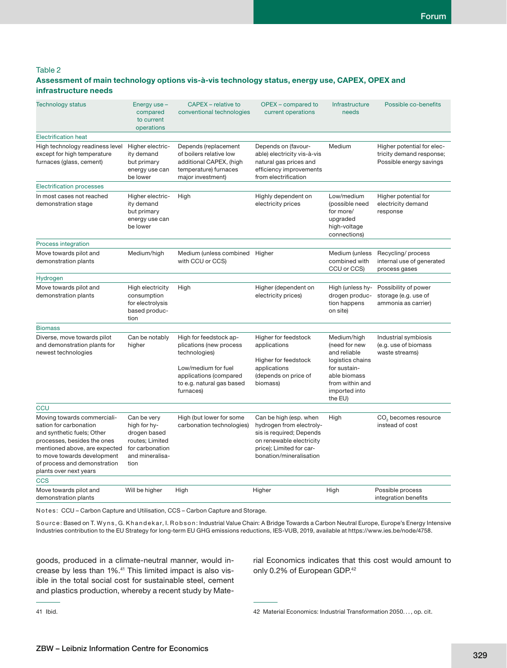# Table 2

## **Assessment of main technology options vis-à-vis technology status, energy use, CAPEX, OPEX and infrastructure needs**

| <b>Technology status</b>                                                                                                                                                                                                                     | Energy use -<br>compared<br>to current<br>operations                                                                                                                  | CAPEX - relative to<br>conventional technologies                                                                                                 | OPEX - compared to<br>current operations                                                                                                                          | Infrastructure<br>needs                                                                                                                         | Possible co-benefits                                                              |
|----------------------------------------------------------------------------------------------------------------------------------------------------------------------------------------------------------------------------------------------|-----------------------------------------------------------------------------------------------------------------------------------------------------------------------|--------------------------------------------------------------------------------------------------------------------------------------------------|-------------------------------------------------------------------------------------------------------------------------------------------------------------------|-------------------------------------------------------------------------------------------------------------------------------------------------|-----------------------------------------------------------------------------------|
| <b>Electrification heat</b>                                                                                                                                                                                                                  |                                                                                                                                                                       |                                                                                                                                                  |                                                                                                                                                                   |                                                                                                                                                 |                                                                                   |
| Higher electric-<br>High technology readiness level<br>except for high temperature<br>ity demand<br>furnaces (glass, cement)<br>but primary<br>energy use can<br>be lower                                                                    |                                                                                                                                                                       | Depends (replacement<br>of boilers relative low<br>additional CAPEX, (high<br>temperature) furnaces<br>major investment)                         | Depends on (favour-<br>able) electricity vis-à-vis<br>natural gas prices and<br>efficiency improvements<br>from electrification                                   | Medium                                                                                                                                          | Higher potential for elec-<br>tricity demand response;<br>Possible energy savings |
| <b>Electrification processes</b>                                                                                                                                                                                                             |                                                                                                                                                                       |                                                                                                                                                  |                                                                                                                                                                   |                                                                                                                                                 |                                                                                   |
| Higher electric-<br>In most cases not reached<br>High<br>ity demand<br>demonstration stage<br>but primary<br>energy use can<br>be lower                                                                                                      |                                                                                                                                                                       |                                                                                                                                                  | Highly dependent on<br>electricity prices                                                                                                                         | Low/medium<br>(possible need<br>for more/<br>upgraded<br>high-voltage<br>connections)                                                           | Higher potential for<br>electricity demand<br>response                            |
| Process integration                                                                                                                                                                                                                          |                                                                                                                                                                       |                                                                                                                                                  |                                                                                                                                                                   |                                                                                                                                                 |                                                                                   |
| Move towards pilot and<br>demonstration plants                                                                                                                                                                                               | Medium/high<br>Medium (unless combined<br>with CCU or CCS)                                                                                                            |                                                                                                                                                  | Higher                                                                                                                                                            | Medium (unless<br>combined with<br>CCU or CCS)                                                                                                  | Recycling/process<br>internal use of generated<br>process gases                   |
| Hydrogen                                                                                                                                                                                                                                     |                                                                                                                                                                       |                                                                                                                                                  |                                                                                                                                                                   |                                                                                                                                                 |                                                                                   |
| Move towards pilot and<br>demonstration plants                                                                                                                                                                                               | High electricity<br>High<br>consumption<br>for electrolysis<br>based produc-<br>tion                                                                                  |                                                                                                                                                  | Higher (dependent on<br>electricity prices)                                                                                                                       | High (unless hy-<br>drogen produc-<br>tion happens<br>on site)                                                                                  | Possibility of power<br>storage (e.g. use of<br>ammonia as carrier)               |
| <b>Biomass</b>                                                                                                                                                                                                                               |                                                                                                                                                                       |                                                                                                                                                  |                                                                                                                                                                   |                                                                                                                                                 |                                                                                   |
| Diverse, move towards pilot<br>Can be notably<br>and demonstration plants for<br>higher<br>newest technologies<br>furnaces)                                                                                                                  |                                                                                                                                                                       | High for feedstock ap-<br>plications (new process<br>technologies)<br>Low/medium for fuel<br>applications (compared<br>to e.g. natural gas based | Higher for feedstock<br>applications<br>Higher for feedstock<br>applications<br>(depends on price of<br>biomass)                                                  | Medium/high<br>(need for new<br>and reliable<br>logistics chains<br>for sustain-<br>able biomass<br>from within and<br>imported into<br>the EU) | Industrial symbiosis<br>(e.g. use of biomass<br>waste streams)                    |
| CCU                                                                                                                                                                                                                                          |                                                                                                                                                                       |                                                                                                                                                  |                                                                                                                                                                   |                                                                                                                                                 |                                                                                   |
| Moving towards commerciali-<br>sation for carbonation<br>and synthetic fuels; Other<br>processes, besides the ones<br>mentioned above, are expected<br>to move towards development<br>of process and demonstration<br>plants over next years | High (but lower for some<br>Can be very<br>high for hy-<br>carbonation technologies)<br>drogen based<br>routes; Limited<br>for carbonation<br>and mineralisa-<br>tion |                                                                                                                                                  | Can be high (esp. when<br>hydrogen from electroly-<br>sis is required; Depends<br>on renewable electricity<br>price); Limited for car-<br>bonation/mineralisation | High                                                                                                                                            | CO <sub>2</sub> becomes resource<br>instead of cost                               |
| <b>CCS</b>                                                                                                                                                                                                                                   |                                                                                                                                                                       |                                                                                                                                                  |                                                                                                                                                                   |                                                                                                                                                 |                                                                                   |
| Move towards pilot and<br>demonstration plants                                                                                                                                                                                               | Will be higher                                                                                                                                                        | High                                                                                                                                             | Higher                                                                                                                                                            | High                                                                                                                                            | Possible process<br>integration benefits                                          |

Notes: CCU – Carbon Capture and Utilisation, CCS – Carbon Capture and Storage.

Source: Based on T. Wyns, G. Khandekar, I. Robson: Industrial Value Chain: A Bridge Towards a Carbon Neutral Europe, Europe's Energy Intensive Industries contribution to the EU Strategy for long-term EU GHG emissions reductions, IES-VUB, 2019, available at https://www.ies.be/node/4758.

goods, produced in a climate-neutral manner, would increase by less than 1%.41 This limited impact is also visible in the total social cost for sustainable steel, cement and plastics production, whereby a recent study by Material Economics indicates that this cost would amount to only 0.2% of European GDP.42

42 Material Economics: Industrial Transformation 2050. . . , op. cit.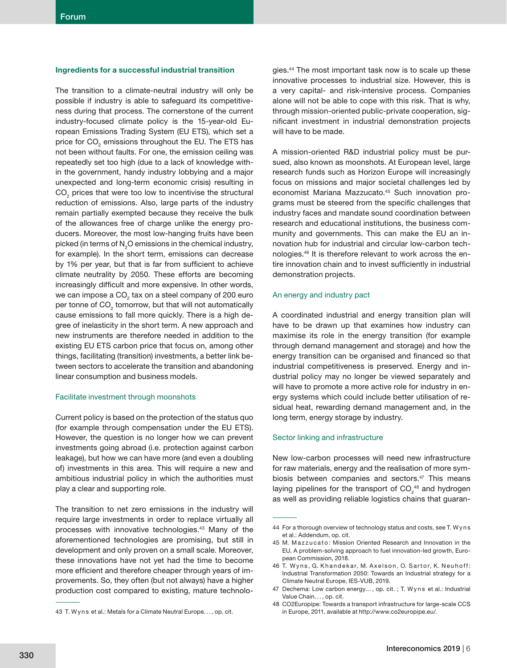#### **Ingredients for a successful industrial transition**

The transition to a climate-neutral industry will only be possible if industry is able to safeguard its competitiveness during that process. The cornerstone of the current industry-focused climate policy is the 15-year-old European Emissions Trading System (EU ETS), which set a price for  $\mathrm{CO}_2$  emissions throughout the EU. The ETS has not been without faults. For one, the emission ceiling was repeatedly set too high (due to a lack of knowledge within the government, handy industry lobbying and a major unexpected and long-term economic crisis) resulting in  $CO<sub>2</sub>$  prices that were too low to incentivise the structural reduction of emissions. Also, large parts of the industry remain partially exempted because they receive the bulk of the allowances free of charge unlike the energy producers. Moreover, the most low-hanging fruits have been picked (in terms of  $\mathsf{N}_{_2}\mathsf{O}$  emissions in the chemical industry, for example). In the short term, emissions can decrease by 1% per year, but that is far from sufficient to achieve climate neutrality by 2050. These efforts are becoming increasingly difficult and more expensive. In other words, we can impose a CO $_{\tiny 2}$  tax on a steel company of 200 euro per tonne of  $\mathsf{CO}_2$  tomorrow, but that will not automatically cause emissions to fall more quickly. There is a high degree of inelasticity in the short term. A new approach and new instruments are therefore needed in addition to the existing EU ETS carbon price that focus on, among other things, facilitating (transition) investments, a better link between sectors to accelerate the transition and abandoning linear consumption and business models.

#### Facilitate investment through moonshots

Current policy is based on the protection of the status quo (for example through compensation under the EU ETS). However, the question is no longer how we can prevent investments going abroad (i.e. protection against carbon leakage), but how we can have more (and even a doubling of) investments in this area. This will require a new and ambitious industrial policy in which the authorities must play a clear and supporting role.

The transition to net zero emissions in the industry will require large investments in order to replace virtually all processes with innovative technologies.43 Many of the aforementioned technologies are promising, but still in development and only proven on a small scale. Moreover, these innovations have not yet had the time to become more efficient and therefore cheaper through years of improvements. So, they often (but not always) have a higher production cost compared to existing, mature technologies.44 The most important task now is to scale up these innovative processes to industrial size. However, this is a very capital- and risk-intensive process. Companies alone will not be able to cope with this risk. That is why, through mission-oriented public-private cooperation, significant investment in industrial demonstration projects will have to be made.

A mission-oriented R&D industrial policy must be pursued, also known as moonshots. At European level, large research funds such as Horizon Europe will increasingly focus on missions and major societal challenges led by economist Mariana Mazzucato.<sup>45</sup> Such innovation programs must be steered from the specific challenges that industry faces and mandate sound coordination between research and educational institutions, the business community and governments. This can make the EU an innovation hub for industrial and circular low-carbon technologies.46 It is therefore relevant to work across the entire innovation chain and to invest sufficiently in industrial demonstration projects.

#### An energy and industry pact

A coordinated industrial and energy transition plan will have to be drawn up that examines how industry can maximise its role in the energy transition (for example through demand management and storage) and how the energy transition can be organised and financed so that industrial competitiveness is preserved. Energy and industrial policy may no longer be viewed separately and will have to promote a more active role for industry in energy systems which could include better utilisation of residual heat, rewarding demand management and, in the long term, energy storage by industry.

#### Sector linking and infrastructure

New low-carbon processes will need new infrastructure for raw materials, energy and the realisation of more symbiosis between companies and sectors.<sup>47</sup> This means laying pipelines for the transport of  $CO<sub>2</sub><sup>48</sup>$  and hydrogen as well as providing reliable logistics chains that guaran-

<sup>43</sup> T. Wyns et al.: Metals for a Climate Neutral Europe..., op. cit.

<sup>44</sup> For a thorough overview of technology status and costs, see T. W y n s et al.: Addendum, op. cit.

<sup>45</sup> M. Mazzucato: Mission Oriented Research and Innovation in the EU, A problem-solving approach to fuel innovation-led growth, European Commission, 2018.

<sup>46</sup> T. Wyns, G. Khandekar, M. Axelson, O. Sartor, K. Neuhoff: Industrial Transformation 2050: Towards an Industrial strategy for a Climate Neutral Europe, IES-VUB, 2019.

<sup>47</sup> Dechema: Low carbon energy..., op. cit. ; T. Wyns et al.: Industrial Value Chain. . . , op. cit.

<sup>48</sup> CO2Europipe: Towards a transport infrastructure for large-scale CCS in Europe, 2011, available at http://www.co2europipe.eu/.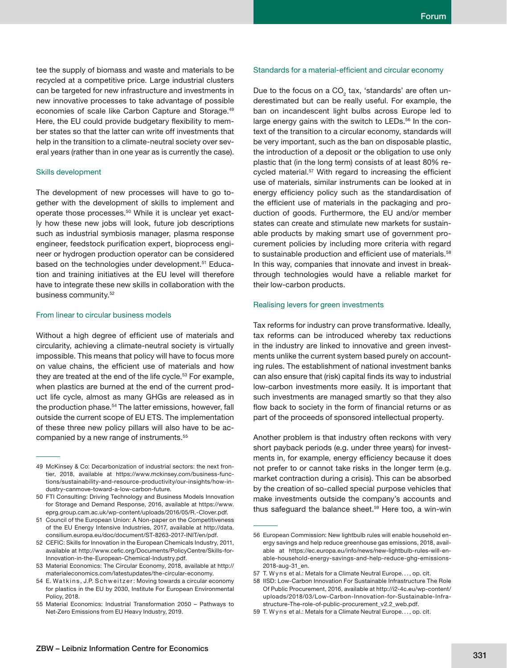tee the supply of biomass and waste and materials to be recycled at a competitive price. Large industrial clusters can be targeted for new infrastructure and investments in new innovative processes to take advantage of possible economies of scale like Carbon Capture and Storage.49 Here, the EU could provide budgetary flexibility to member states so that the latter can write off investments that help in the transition to a climate-neutral society over several years (rather than in one year as is currently the case).

#### Skills development

The development of new processes will have to go together with the development of skills to implement and operate those processes.<sup>50</sup> While it is unclear yet exactly how these new jobs will look, future job descriptions such as industrial symbiosis manager, plasma response engineer, feedstock purification expert, bioprocess engineer or hydrogen production operator can be considered based on the technologies under development.<sup>51</sup> Education and training initiatives at the EU level will therefore have to integrate these new skills in collaboration with the business community.<sup>52</sup>

#### From linear to circular business models

Without a high degree of efficient use of materials and circularity, achieving a climate-neutral society is virtually impossible. This means that policy will have to focus more on value chains, the efficient use of materials and how they are treated at the end of the life cycle.<sup>53</sup> For example, when plastics are burned at the end of the current product life cycle, almost as many GHGs are released as in the production phase.<sup>54</sup> The latter emissions, however, fall outside the current scope of EU ETS. The implementation of these three new policy pillars will also have to be accompanied by a new range of instruments.55

#### Standards for a material-efficient and circular economy

Due to the focus on a CO $_2$  tax, 'standards' are often underestimated but can be really useful. For example, the ban on incandescent light bulbs across Europe led to large energy gains with the switch to LEDs.<sup>56</sup> In the context of the transition to a circular economy, standards will be very important, such as the ban on disposable plastic, the introduction of a deposit or the obligation to use only plastic that (in the long term) consists of at least 80% recycled material.<sup>57</sup> With regard to increasing the efficient use of materials, similar instruments can be looked at in energy efficiency policy such as the standardisation of the efficient use of materials in the packaging and production of goods. Furthermore, the EU and/or member states can create and stimulate new markets for sustainable products by making smart use of government procurement policies by including more criteria with regard to sustainable production and efficient use of materials.<sup>58</sup> In this way, companies that innovate and invest in breakthrough technologies would have a reliable market for their low-carbon products.

## Realising levers for green investments

Tax reforms for industry can prove transformative. Ideally, tax reforms can be introduced whereby tax reductions in the industry are linked to innovative and green investments unlike the current system based purely on accounting rules. The establishment of national investment banks can also ensure that (risk) capital finds its way to industrial low-carbon investments more easily. It is important that such investments are managed smartly so that they also flow back to society in the form of financial returns or as part of the proceeds of sponsored intellectual property.

Another problem is that industry often reckons with very short payback periods (e.g. under three years) for investments in, for example, energy efficiency because it does not prefer to or cannot take risks in the longer term (e.g. market contraction during a crisis). This can be absorbed by the creation of so-called special purpose vehicles that make investments outside the company's accounts and thus safeguard the balance sheet.<sup>59</sup> Here too, a win-win

<sup>49</sup> McKinsey & Co: Decarbonization of industrial sectors: the next frontier, 2018, available at https://www.mckinsey.com/business-functions/sustainability-and-resource-productivity/our-insights/how-industry-canmove-toward-a-low-carbon-future.

<sup>50</sup> FTI Consulting: Driving Technology and Business Models Innovation for Storage and Demand Response, 2016, available at https://www. eprg.group.cam.ac.uk/wp-content/uploads/2016/05/R.-Clover.pdf.

<sup>51</sup> Council of the European Union: A Non-paper on the Competitiveness of the EU Energy Intensive Industries, 2017, available at http://data. consilium.europa.eu/doc/document/ST-8263-2017-INIT/en/pdf.

<sup>52</sup> CEFIC: Skills for Innovation in the European Chemicals Industry, 2011, available at http://www.cefic.org/Documents/PolicyCentre/Skills-for-Innovation-in-the-European-Chemical-Industry.pdf.

<sup>53</sup> Material Economics: The Circular Economy, 2018, available at http:// materialeconomics.com/latestupdates/the-circular-economy.

<sup>54</sup> E. Watkins, J.P. Schweitzer: Moving towards a circular economy for plastics in the EU by 2030, Institute For European Environmental Policy, 2018.

<sup>55</sup> Material Economics: Industrial Transformation 2050 – Pathways to Net-Zero Emissions from EU Heavy Industry, 2019.

<sup>56</sup> European Commission: New lightbulb rules will enable household energy savings and help reduce greenhouse gas emissions, 2018, available at https://ec.europa.eu/info/news/new-lightbulb-rules-will-enable-household-energy-savings-and-help-reduce-ghg-emissions-2018-aug-31\_en.

<sup>57</sup> T. Wyns et al.: Metals for a Climate Neutral Europe..., op. cit.

<sup>58</sup> IISD: Low-Carbon Innovation For Sustainable Infrastructure The Role Of Public Procurement, 2016, available at http://i2-4c.eu/wp-content/ uploads/2018/03/Low-Carbon-Innovation-for-Sustainable-Infrastructure-The-role-of-public-procurement\_v2.2\_web.pdf.

<sup>59</sup> T. Wyns et al.: Metals for a Climate Neutral Europe..., op. cit.